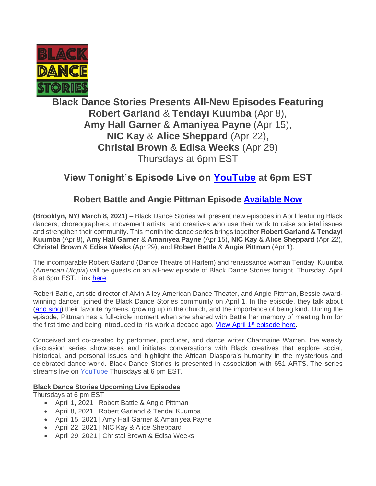

# **Black Dance Stories Presents All-New Episodes Featuring Robert Garland** & **Tendayi Kuumba** (Apr 8), **Amy Hall Garner** & **Amaniyea Payne** (Apr 15), **NIC Kay** & **Alice Sheppard** (Apr 22), **Christal Brown** & **Edisa Weeks** (Apr 29) Thursdays at 6pm EST

# **View Tonight's Episode Live on [YouTube](https://www.youtube.com/channel/UChAdMkDQCaGWCIaBoSZirTg) at 6pm EST**

# **Robert Battle and Angie Pittman Episode [Available Now](https://youtu.be/UqjHFNrlsiQ)**

**(Brooklyn, NY/ March 8, 2021)** – Black Dance Stories will present new episodes in April featuring Black dancers, choreographers, movement artists, and creatives who use their work to raise societal issues and strengthen their community. This month the dance series brings together **Robert Garland** & **Tendayi Kuumba** (Apr 8), **Amy Hall Garner** & **Amaniyea Payne** (Apr 15), **NIC Kay** & **Alice Sheppard** (Apr 22), **Christal Brown** & **Edisa Weeks** (Apr 29), and **Robert Battle** & **Angie Pittman** (Apr 1).

The incomparable Robert Garland (Dance Theatre of Harlem) and renaissance woman Tendayi Kuumba (*American Utopia*) will be guests on an all-new episode of Black Dance Stories tonight, Thursday, April 8 at 6pm EST. Link [here.](https://www.youtube.com/channel/UChAdMkDQCaGWCIaBoSZirTg)

Robert Battle, artistic director of Alvin Ailey American Dance Theater, and Angie Pittman, Bessie awardwinning dancer, joined the Black Dance Stories community on April 1. In the episode, they talk about [\(and sing\)](https://youtu.be/UqjHFNrlsiQ?t=2610) their favorite hymens, growing up in the church, and the importance of being kind. During the episode, Pittman has a full-circle moment when she shared with Battle her memory of meeting him for the first time and being introduced to his work a decade ago. View April 1<sup>st</sup> [episode here.](https://youtu.be/UqjHFNrlsiQ)

Conceived and co-created by performer, producer, and dance writer Charmaine Warren, the weekly discussion series showcases and initiates conversations with Black creatives that explore social, historical, and personal issues and highlight the African Diaspora's humanity in the mysterious and celebrated dance world. Black Dance Stories is presented in association with 651 ARTS. The series streams live on [YouTube](https://www.youtube.com/channel/UChAdMkDQCaGWCIaBoSZirTg/videos) Thursdays at 6 pm EST.

## **Black Dance Stories Upcoming Live Episodes**

Thursdays at 6 pm EST

- April 1, 2021 | Robert Battle & Angie Pittman
- April 8, 2021 | Robert Garland & Tendai Kuumba
- April 15, 2021 | Amy Hall Garner & Amaniyea Payne
- April 22, 2021 | NIC Kay & Alice Sheppard
- April 29, 2021 | Christal Brown & Edisa Weeks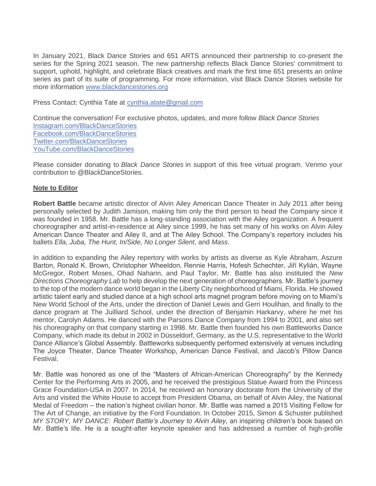In January 2021, Black Dance Stories and 651 ARTS announced their partnership to co-present the series for the Spring 2021 season. The new partnership reflects Black Dance Stories' commitment to support, uphold, highlight, and celebrate Black creatives and mark the first time 651 presents an online series as part of its suite of programming. For more information, visit Black Dance Stories website for more information [www.blackdancestories.org](http://www.blackdancestories.org/)

Press Contact: Cynthia Tate at [cynthia.atate@gmail.com](mailto:cynthia.atate@gmail.com)

Continue the conversation! For exclusive photos, updates, and more follow *Black Dance Stories* [Instagram.com/BlackDanceStories](https://www.instagram.com/blackdancestories/) [Facebook.com/BlackDanceStories](https://www.facebook.com/Black-Dance-Stories-114655733639715/?ref=page_internal) [Twitter.com/BlackDanceStories](https://twitter.com/blkdancestories?s=11) [YouTube.com/BlackDanceStories](https://www.youtube.com/channel/UChAdMkDQCaGWCIaBoSZirTg)

Please consider donating to *Black Dance Stories* in support of this free virtual program. Venmo your contribution to @BlackDanceStories.

### **Note to Editor**

**Robert Battle** became artistic director of Alvin Ailey American Dance Theater in July 2011 after being personally selected by Judith Jamison, making him only the third person to head the Company since it was founded in 1958. Mr. Battle has a long-standing association with the Ailey organization. A frequent choreographer and artist-in-residence at Ailey since 1999, he has set many of his works on Alvin Ailey American Dance Theater and Ailey II, and at The Ailey School. The Company's repertory includes his ballets *Ella, Juba, The Hunt, In/Side, No Longer Silent*, and *Mass*.

In addition to expanding the Ailey repertory with works by artists as diverse as Kyle Abraham, Aszure Barton, Ronald K. Brown, Christopher Wheeldon, Rennie Harris, Hofesh Schechter, Jiří Kylián, Wayne McGregor, Robert Moses, Ohad Naharin, and Paul Taylor, Mr. Battle has also instituted the *New Directions Choreography Lab* to help develop the next generation of choreographers. Mr. Battle's journey to the top of the modern dance world began in the Liberty City neighborhood of Miami, Florida. He showed artistic talent early and studied dance at a high school arts magnet program before moving on to Miami's New World School of the Arts, under the direction of Daniel Lewis and Gerri Houlihan, and finally to the dance program at The Juilliard School, under the direction of Benjamin Harkarvy, where he met his mentor, Carolyn Adams. He danced with the Parsons Dance Company from 1994 to 2001, and also set his choreography on that company starting in 1998. Mr. Battle then founded his own Battleworks Dance Company, which made its debut in 2002 in Düsseldorf, Germany, as the U.S. representative to the World Dance Alliance's Global Assembly. Battleworks subsequently performed extensively at venues including The Joyce Theater, Dance Theater Workshop, American Dance Festival, and Jacob's Pillow Dance Festival.

Mr. Battle was honored as one of the "Masters of African-American Choreography" by the Kennedy Center for the Performing Arts in 2005, and he received the prestigious Statue Award from the Princess Grace Foundation-USA in 2007. In 2014, he received an honorary doctorate from the University of the Arts and visited the White House to accept from President Obama, on behalf of Alvin Ailey, the National Medal of Freedom – the nation's highest civilian honor. Mr. Battle was named a 2015 Visiting Fellow for The Art of Change, an initiative by the Ford Foundation. In October 2015, Simon & Schuster published *MY STORY, MY DANCE*: *Robert Battle's Journey to Alvin Ailey*, an inspiring children's book based on Mr. Battle's life. He is a sought-after keynote speaker and has addressed a number of high-profile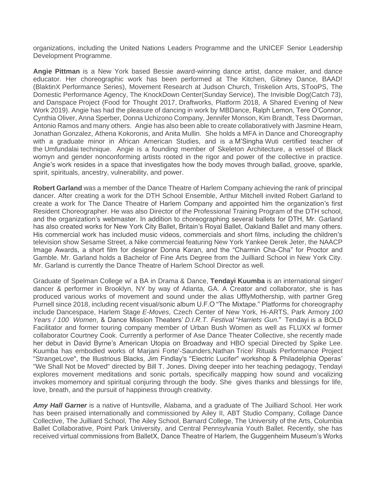organizations, including the United Nations Leaders Programme and the UNICEF Senior Leadership Development Programme.

**Angie Pittman** is a New York based Bessie award-winning dance artist, dance maker, and dance educator. Her choreographic work has been performed at The Kitchen, Gibney Dance, BAAD! (BlaktinX Performance Series), Movement Research at Judson Church, Triskelion Arts, STooPS, The Domestic Performance Agency, The KnockDown Center(Sunday Service), The Invisible Dog(Catch 73), and Danspace Project (Food for Thought 2017, Draftworks, Platform 2018, A Shared Evening of New Work 2019). Angie has had the pleasure of dancing in work by MBDance, Ralph Lemon, Tere O'Connor, Cynthia Oliver, Anna Sperber, Donna Uchizono Company, Jennifer Monson, Kim Brandt, Tess Dworman, Antonio Ramos and many others. Angie has also been able to create collaboratively with Jasmine Hearn, Jonathan Gonzalez, Athena Kokoronis, and Anita Mullin. She holds a MFA in Dance and Choreography with a graduate minor in African American Studies, and is a M'Singha Wuti certified teacher of the Umfundalai technique. Angie is a founding member of Skeleton Architecture, a vessel of Black womyn and gender nonconforming artists rooted in the rigor and power of the collective in practice. Angie's work resides in a space that investigates how the body moves through ballad, groove, sparkle, spirit, spirituals, ancestry, vulnerability, and power.

**Robert Garland** was a member of the Dance Theatre of Harlem Company achieving the rank of principal dancer. After creating a work for the DTH School Ensemble, Arthur Mitchell invited Robert Garland to create a work for The Dance Theatre of Harlem Company and appointed him the organization's first Resident Choreographer. He was also Director of the Professional Training Program of the DTH school, and the organization's webmaster. In addition to choreographing several ballets for DTH, Mr. Garland has also created works for New York City Ballet, Britain's Royal Ballet, Oakland Ballet and many others. His commercial work has included music videos, commercials and short films, including the children's television show Sesame Street, a Nike commercial featuring New York Yankee Derek Jeter, the NAACP Image Awards, a short film for designer Donna Karan, and the "Charmin Cha-Cha" for Proctor and Gamble. Mr. Garland holds a Bachelor of Fine Arts Degree from the Juilliard School in New York City. Mr. Garland is currently the Dance Theatre of Harlem School Director as well.

Graduate of Spelman College w/ a BA in Drama & Dance, **Tendayi Kuumba** is an international singer/ dancer & performer in Brooklyn, NY by way of Atlanta, GA. A Creator and collaborator, she is has produced various works of movement and sound under the alias UfflyMothership, with partner Greg Purnell since 2018, including recent visual/sonic album U.F.O "The Mixtape." Platforms for choreography include Dancespace, Harlem Stage *E-Moves*, Czech Center of New York, Hi-ARTS, Park Armory *100 Years / 100 Women*, & Dance Mission Theaters' *D.I.R.T. Festival* "*Harriets Gun*." Tendayi is a BOLD Facilitator and former touring company member of Urban Bush Women as well as FLUXX w/ former collaborator Courtney Cook. Currently a performer of Ase Dance Theater Collective, she recently made her debut in David Byrne's American Utopia on Broadway and HBO special Directed by Spike Lee. Kuumba has embodied works of Marjani Forte'-Saunders,Nathan Trice/ Rituals Performance Project "StrangeLove", the Illustrious Blacks, Jim Findlay's "Electric Lucifer" workshop & Philadelphia Operas' "We Shall Not be Moved" directed by Bill T. Jones. Diving deeper into her teaching pedagogy, Tendayi explores movement meditations and sonic portals, specifically mapping how sound and vocalizing invokes momemory and spiritual conjuring through the body. She gives thanks and blessings for life, love, breath, and the pursuit of happiness through creativity.

*Amy Hall Garner* is a native of Huntsville, Alabama, and a graduate of The Juilliard School. Her work has been praised internationally and commissioned by Ailey II, ABT Studio Company, Collage Dance Collective, The Juilliard School, The Ailey School, Barnard College, The University of the Arts, Columbia Ballet Collaborative, Point Park University, and Central Pennsylvania Youth Ballet. Recently, she has received virtual commissions from BalletX, Dance Theatre of Harlem, the Guggenheim Museum's Works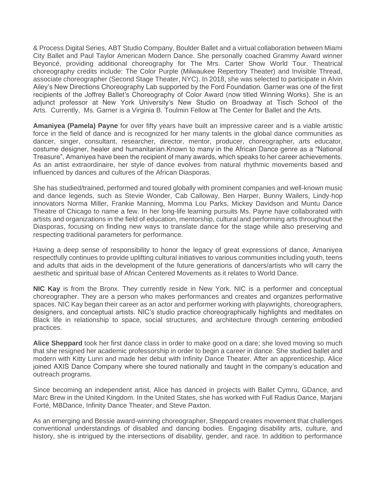& Process Digital Series, ABT Studio Company, Boulder Ballet and a virtual collaboration between Miami City Ballet and Paul Taylor American Modern Dance. She personally coached Grammy Award winner Beyoncé, providing additional choreography for The Mrs. Carter Show World Tour. Theatrical choreography credits include: The Color Purple (Milwaukee Repertory Theater) and Invisible Thread, associate choreographer (Second Stage Theater, NYC). In 2018, she was selected to participate in Alvin Ailey's New Directions Choreography Lab supported by the Ford Foundation. Garner was one of the first recipients of the Joffrey Ballet's Choreography of Color Award (now titled Winning Works). She is an adjunct professor at New York University's New Studio on Broadway at Tisch School of the Arts. Currently, Ms. Garner is a Virginia B. Toulmin Fellow at The Center for Ballet and the Arts.

**Amaniyea (Pamela) Payne** for over fifty years have built an impressive career and is a viable artistic force in the field of dance and is recognized for her many talents in the global dance communities as dancer, singer, consultant, researcher, director, mentor, producer, choreographer, arts educator, costume designer, healer and humanitarian.Known to many in the African Dance genre as a "National Treasure", Amaniyea have been the recipient of many awards, which speaks to her career achievements. As an artist extraordinaire, her style of dance evolves from natural rhythmic movements based and influenced by dances and cultures of the African Diasporas.

She has studied/trained, performed and toured globally with prominent companies and well-known music and dance legends, such as Stevie Wonder, Cab Calloway, Ben Harper, Bunny Wailers, Lindy-hop innovators Norma Miller, Frankie Manning, Momma Lou Parks, Mickey Davidson and Muntu Dance Theatre of Chicago to name a few. In her long-life learning pursuits Ms. Payne have collaborated with artists and organizations in the field of education, mentorship, cultural and performing arts throughout the Diasporas, focusing on finding new ways to translate dance for the stage while also preserving and respecting traditional parameters for performance.

Having a deep sense of responsibility to honor the legacy of great expressions of dance, Amaniyea respectfully continues to provide uplifting cultural initiatives to various communities including youth, teens and adults that aids in the development of the future generations of dancers/artists who will carry the aesthetic and spiritual base of African Centered Movements as it relates to World Dance.

**NIC Kay** is from the Bronx. They currently reside in New York. NIC is a performer and conceptual choreographer. They are a person who makes performances and creates and organizes performative spaces. NIC Kay began their career as an actor and performer working with playwrights, choreographers, designers, and conceptual artists. NIC's studio practice choreographically highlights and meditates on Black life in relationship to space, social structures, and architecture through centering embodied practices.

**Alice Sheppard** took her first dance class in order to make good on a dare; she loved moving so much that she resigned her academic professorship in order to begin a career in dance. She studied ballet and modern with Kitty Lunn and made her debut with Infinity Dance Theater. After an apprenticeship, Alice joined AXIS Dance Company where she toured nationally and taught in the company's education and outreach programs.

Since becoming an independent artist, Alice has danced in projects with Ballet Cymru, GDance, and Marc Brew in the United Kingdom. In the United States, she has worked with Full Radius Dance, Marjani Forté, MBDance, Infinity Dance Theater, and Steve Paxton.

As an emerging and Bessie award-winning choreographer, Sheppard creates movement that challenges conventional understandings of disabled and dancing bodies. Engaging disability arts, culture, and history, she is intrigued by the intersections of disability, gender, and race. In addition to performance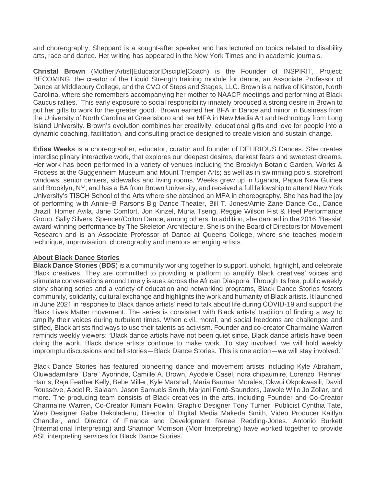and choreography, Sheppard is a sought-after speaker and has lectured on topics related to disability arts, race and dance. Her writing has appeared in the New York Times and in academic journals.

**Christal Brown** (Mother|Artist|Educator|Disciple|Coach) is the Founder of INSPIRIT, Project: BECOMING, the creator of the Liquid Strength training module for dance, an Associate Professor of Dance at Middlebury College, and the CVO of Steps and Stages, LLC. Brown is a native of Kinston, North Carolina, where she remembers accompanying her mother to NAACP meetings and performing at Black Caucus rallies. This early exposure to social responsibility innately produced a strong desire in Brown to put her gifts to work for the greater good. Brown earned her BFA in Dance and minor in Business from the University of North Carolina at Greensboro and her MFA in New Media Art and technology from Long Island University. Brown's evolution combines her creativity, educational gifts and love for people into a dynamic coaching, facilitation, and consulting practice designed to create vision and sustain change.

**Edisa Weeks** is a choreographer, educator, curator and founder of DELIRIOUS Dances. She creates interdisciplinary interactive work, that explores our deepest desires, darkest fears and sweetest dreams. Her work has been performed in a variety of venues including the Brooklyn Botanic Garden, Works & Process at the Guggenheim Museum and Mount Tremper Arts; as well as in swimming pools, storefront windows, senior centers, sidewalks and living rooms. Weeks grew up in Uganda, Papua New Guinea and Brooklyn, NY, and has a BA from Brown University, and received a full fellowship to attend New York University's TISCH School of the Arts where she obtained an MFA in choreography. She has had the joy of performing with Annie–B Parsons Big Dance Theater, Bill T. Jones/Arnie Zane Dance Co., Dance Brazil, Homer Avila, Jane Comfort, Jon Kinzel, Muna Tseng, Reggie Wilson Fist & Heel Performance Group, Sally Silvers, Spencer/Colton Dance, among others. In addition, she danced in the 2016 "Bessie" award-winning performance by The Skeleton Architecture. She is on the Board of Directors for Movement Research and is an Associate Professor of Dance at Queens College, where she teaches modern technique, improvisation, choreography and mentors emerging artists.

### **About Black Dance Stories**

**Black Dance Stories** (**BDS**) is a community working together to support, uphold, highlight, and celebrate Black creatives. They are committed to providing a platform to amplify Black creatives' voices and stimulate conversations around timely issues across the African Diaspora. Through its free, public weekly story sharing series and a variety of education and networking programs, Black Dance Stories fosters community, solidarity, cultural exchange and highlights the work and humanity of Black artists. It launched in June 2021 in response to Black dance artists' need to talk about life during COVID-19 and support the Black Lives Matter movement. The series is consistent with Black artists' tradition of finding a way to amplify their voices during turbulent times. When civil, moral, and social freedoms are challenged and stifled, Black artists find ways to use their talents as activism. Founder and co-creator Charmaine Warren reminds weekly viewers: "Black dance artists have not been quiet since. Black dance artists have been doing the work. Black dance artists continue to make work. To stay involved, we will hold weekly impromptu discussions and tell stories—Black Dance Stories. This is one action—we will stay involved."

Black Dance Stories has featured pioneering dance and movement artists including Kyle Abraham, Oluwadamilare "Dare" Ayorinde, Camille A. Brown, Ayodele Casel, nora chipaumire, Lorenzo "Rennie" Harris, Raja Feather Kelly, Bebe Miller, Kyle Marshall, Maria Bauman Morales, Okwui Okpokwasili, David Roussève, Abdel R. Salaam, Jason Samuels Smith, Marjani Forté-Saunders, Jawole Willo Jo Zollar, and more. The producing team consists of Black creatives in the arts, including Founder and Co-Creator Charmaine Warren, Co-Creator Kimani Fowlin, Graphic Designer Tony Turner, Publicist Cynthia Tate, Web Designer Gabe Dekoladenu, Director of Digital Media Makeda Smith, Video Producer Kaitlyn Chandler, and Director of Finance and Development Renee Redding-Jones. Antonio Burkett (International Interpreting) and Shannon Morrison (Morr Interpreting) have worked together to provide ASL interpreting services for Black Dance Stories.